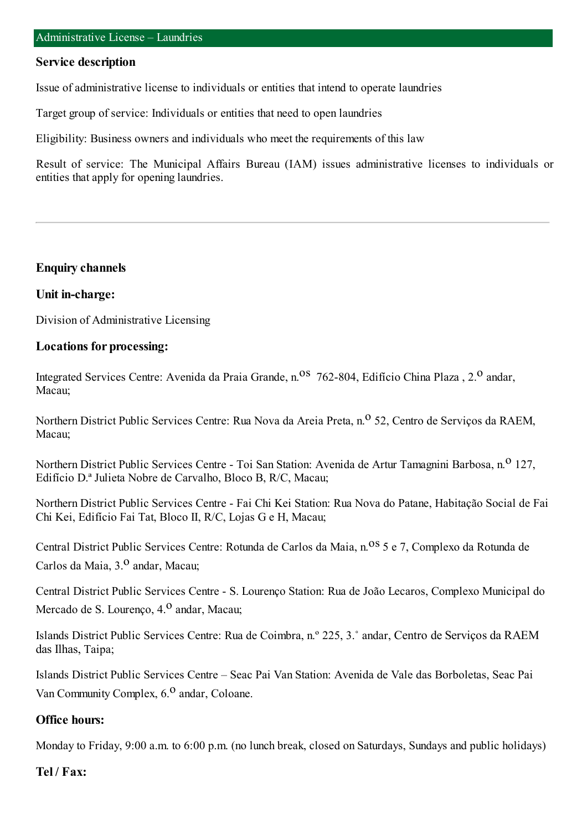#### **Service description**

Issue of administrative license to individuals or entities that intend to operate laundries

Target group of service: Individuals or entities that need to open laundries

Eligibility: Business owners and individuals who meet the requirements of this law

Result of service: The Municipal Affairs Bureau (IAM) issues administrative licenses to individuals or entities that apply for opening laundries.

#### **Enquiry channels**

#### **Unit in-charge:**

Division of Administrative Licensing

#### **Locations for processing:**

Integrated Services Centre: Avenida da Praia Grande, n.<sup>08</sup> 762-804, Edifício China Plaza, 2.<sup>0</sup> andar, Macau;

Northern District Public Services Centre: Rua Nova da Areia Preta, n.<sup>o</sup> 52, Centro de Servicos da RAEM, Macau;

Northern District Public Services Centre - Toi San Station: Avenida de Artur Tamagnini Barbosa, n.<sup>0</sup> 127, Edifício D.ª Julieta Nobre de Carvalho, Bloco B, R/C, Macau;

Northern District Public Services Centre - Fai Chi Kei Station: Rua Nova do Patane, Habitação Social de Fai Chi Kei, Edifício Fai Tat, Bloco II, R/C, Lojas G e H, Macau;

Central District Public Services Centre: Rotunda de Carlos da Maia, n.<sup>08</sup> 5 e 7, Complexo da Rotunda de Carlos da Maia, 3.<sup>0</sup> andar, Macau;

Central District Public Services Centre - S. Lourenço Station: Rua de João Lecaros, Complexo Municipal do Mercado de S. Lourenço, 4.<sup>0</sup> andar, Macau;

Islands District Public Services Centre: Rua de Coimbra, n.º 225, 3.˚ andar, Centro de Serviços da RAEM das Ilhas, Taipa;

Islands District Public Services Centre – Seac Pai Van Station: Avenida de Vale das Borboletas, Seac Pai Van Community Complex, 6.<sup>0</sup> andar, Coloane.

### **Office hours:**

Monday to Friday, 9:00 a.m. to 6:00 p.m. (no lunch break, closed on Saturdays, Sundays and public holidays)

#### **Tel / Fax:**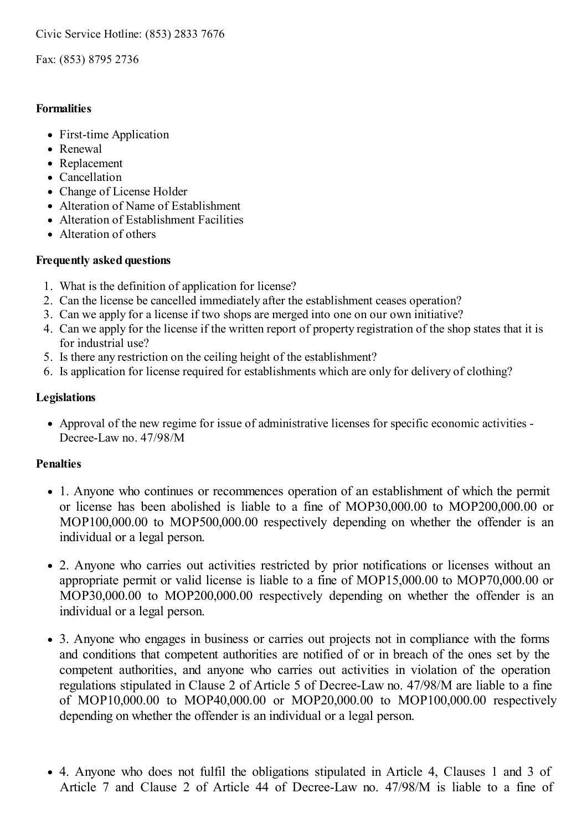Fax: (853) 8795 2736

### **Formalities**

- First-time Application
- Renewal
- Replacement
- Cancellation
- Change of License Holder
- Alteration of Name of Establishment
- Alteration of Establishment Facilities
- Alteration of others

### **Frequently asked questions**

- 1. What is the definition of application for license?
- 2. Can the license be cancelled immediately after the establishment ceases operation?
- 3. Can we apply for a license if two shops are merged into one on our own initiative?
- 4. Can we apply for the license if the written report of property registration of the shop states that it is for industrial use?
- 5. Is there any restriction on the ceiling height of the establishment?
- 6. Is application for license required for establishments which are only for delivery of clothing?

# **Legislations**

Approval of the new regime for issue of administrative licenses for specific economic activities - Decree-Law no. 47/98/M

# **Penalties**

- 1. Anyone who continues or recommences operation of an establishment of which the permit or license has been abolished is liable to a fine of MOP30,000.00 to MOP200,000.00 or MOP100,000.00 to MOP500,000.00 respectively depending on whether the offender is an individual or a legal person.
- 2. Anyone who carries out activities restricted by prior notifications or licenses without an appropriate permit or valid license is liable to a fine of MOP15,000.00 to MOP70,000.00 or MOP30,000.00 to MOP200,000.00 respectively depending on whether the offender is an individual or a legal person.
- 3. Anyone who engages in business or carries out projects not in compliance with the forms and conditions that competent authorities are notified of or in breach of the ones set by the competent authorities, and anyone who carries out activities in violation of the operation regulations stipulated in Clause 2 of Article 5 of Decree-Law no. 47/98/M are liable to a fine of MOP10,000.00 to MOP40,000.00 or MOP20,000.00 to MOP100,000.00 respectively depending on whether the offender is an individual or a legal person.
- 4. Anyone who does not fulfil the obligations stipulated in Article 4, Clauses 1 and 3 of Article 7 and Clause 2 of Article 44 of Decree-Law no. 47/98/M is liable to a fine of